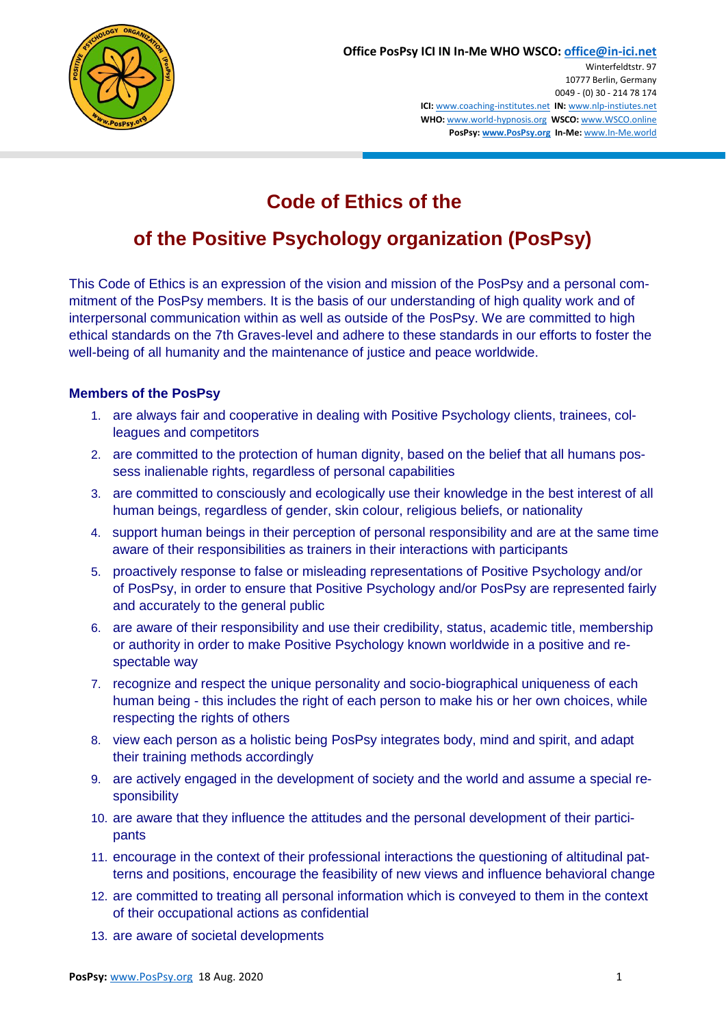

# **Code of Ethics of the**

## **of the Positive Psychology organization (PosPsy)**

This Code of Ethics is an expression of the vision and mission of the PosPsy and a personal commitment of the PosPsy members. It is the basis of our understanding of high quality work and of interpersonal communication within as well as outside of the PosPsy. We are committed to high ethical standards on the 7th Graves-level and adhere to these standards in our efforts to foster the well-being of all humanity and the maintenance of justice and peace worldwide.

### **Members of the PosPsy**

- 1. are always fair and cooperative in dealing with Positive Psychology clients, trainees, colleagues and competitors
- 2. are committed to the protection of human dignity, based on the belief that all humans possess inalienable rights, regardless of personal capabilities
- 3. are committed to consciously and ecologically use their knowledge in the best interest of all human beings, regardless of gender, skin colour, religious beliefs, or nationality
- 4. support human beings in their perception of personal responsibility and are at the same time aware of their responsibilities as trainers in their interactions with participants
- 5. proactively response to false or misleading representations of Positive Psychology and/or of PosPsy, in order to ensure that Positive Psychology and/or PosPsy are represented fairly and accurately to the general public
- 6. are aware of their responsibility and use their credibility, status, academic title, membership or authority in order to make Positive Psychology known worldwide in a positive and respectable way
- 7. recognize and respect the unique personality and socio-biographical uniqueness of each human being - this includes the right of each person to make his or her own choices, while respecting the rights of others
- 8. view each person as a holistic being PosPsy integrates body, mind and spirit, and adapt their training methods accordingly
- 9. are actively engaged in the development of society and the world and assume a special responsibility
- 10. are aware that they influence the attitudes and the personal development of their participants
- 11. encourage in the context of their professional interactions the questioning of altitudinal patterns and positions, encourage the feasibility of new views and influence behavioral change
- 12. are committed to treating all personal information which is conveyed to them in the context of their occupational actions as confidential
- 13. are aware of societal developments